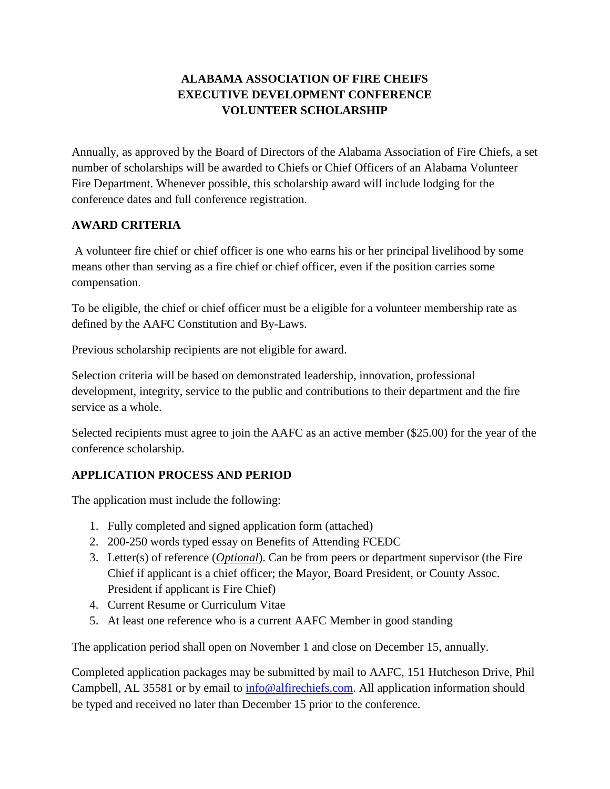# **ALABAMA ASSOCIATION OF FIRE CHEIFS EXECUTIVE DEVELOPMENT CONFERENCE VOLUNTEER SCHOLARSHIP**

Annually, as approved by the Board of Directors of the Alabama Association of Fire Chiefs, a set number of scholarships will be awarded to Chiefs or Chief Officers of an Alabama Volunteer Fire Department. Whenever possible, this scholarship award will include lodging for the conference dates and full conference registration.

### **AWARD CRITERIA**

A volunteer fire chief or chief officer is one who earns his or her principal livelihood by some means other than serving as a fire chief or chief officer, even if the position carries some compensation.

To be eligible, the chief or chief officer must be a eligible for a volunteer membership rate as defined by the AAFC Constitution and By-Laws.

Previous scholarship recipients are not eligible for award.

Selection criteria will be based on demonstrated leadership, innovation, professional development, integrity, service to the public and contributions to their department and the fire service as a whole.

Selected recipients must agree to join the AAFC as an active member (\$25.00) for the year of the conference scholarship.

### **APPLICATION PROCESS AND PERIOD**

The application must include the following:

- 1. Fully completed and signed application form (attached)
- 2. 200-250 words typed essay on Benefits of Attending FCEDC
- 3. Letter(s) of reference (*Optional*). Can be from peers or department supervisor (the Fire Chief if applicant is a chief officer; the Mayor, Board President, or County Assoc. President if applicant is Fire Chief)
- 4. Current Resume or Curriculum Vitae
- 5. At least one reference who is a current AAFC Member in good standing

The application period shall open on November 1 and close on December 15, annually.

Completed application packages may be submitted by mail to AAFC, 151 Hutcheson Drive, Phil Campbell, AL 35581 or by email to [info@alfirechiefs.com.](mailto:info@alfirechiefs.com) All application information should be typed and received no later than December 15 prior to the conference.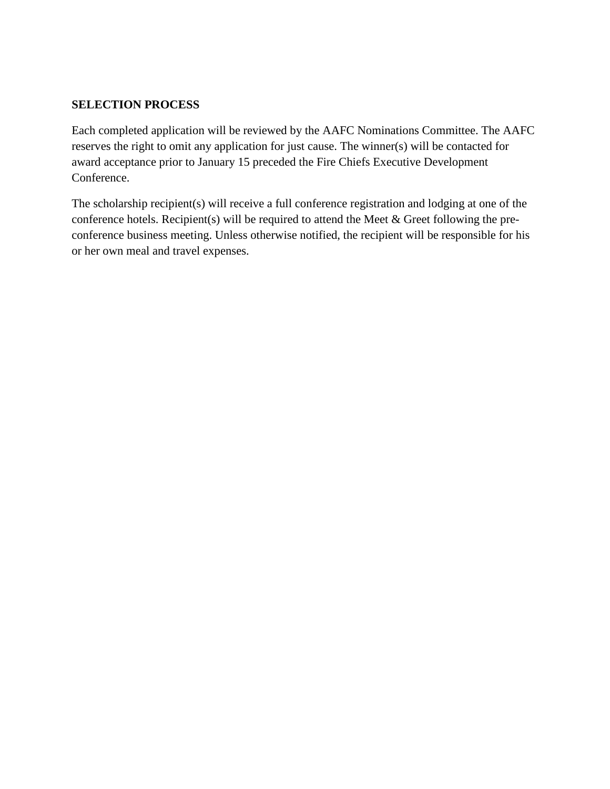#### **SELECTION PROCESS**

Each completed application will be reviewed by the AAFC Nominations Committee. The AAFC reserves the right to omit any application for just cause. The winner(s) will be contacted for award acceptance prior to January 15 preceded the Fire Chiefs Executive Development Conference.

The scholarship recipient(s) will receive a full conference registration and lodging at one of the conference hotels. Recipient(s) will be required to attend the Meet & Greet following the preconference business meeting. Unless otherwise notified, the recipient will be responsible for his or her own meal and travel expenses.